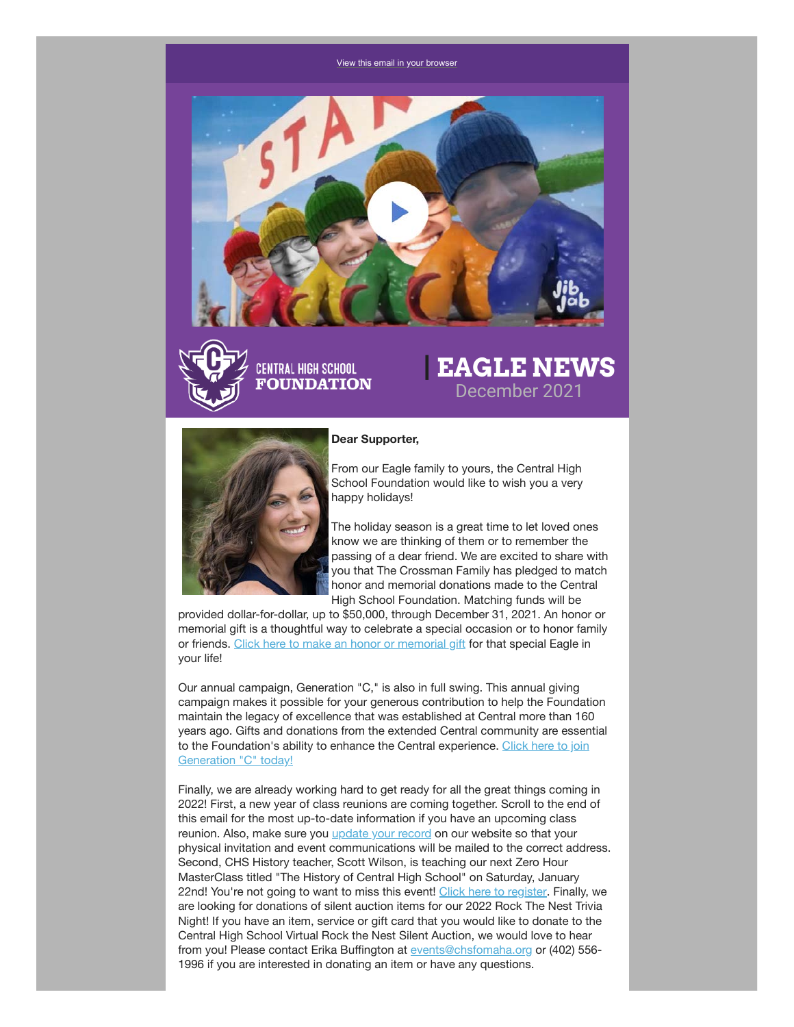#### [View this email in your browser](https://mailchi.mp/chsfomaha/latrell-wrightsell-jr-sets-new-school-record-for-most-points-scored-in-a-single-game-6251034?e=[UNIQID])





# **| EAGLE NEWS** December 2021



#### **Dear Supporter,**

From our Eagle family to yours, the Central High School Foundation would like to wish you a very happy holidays!

The holiday season is a great time to let loved ones know we are thinking of them or to remember the passing of a dear friend. We are excited to share with you that The Crossman Family has pledged to match honor and memorial donations made to the Central High School Foundation. Matching funds will be

provided dollar-for-dollar, up to \$50,000, through December 31, 2021. An honor or memorial gift is a thoughtful way to celebrate a special occasion or to honor family or friends. [Click here to make an honor or memorial gift](https://chsfomaha.org/support/memorial-giving/) for that special Eagle in your life!

Our annual campaign, Generation "C," is also in full swing. This annual giving campaign makes it possible for your generous contribution to help the Foundation maintain the legacy of excellence that was established at Central more than 160 years ago. Gifts and donations from the extended Central community are essential [to the Foundation's ability to enhance the Central experience. Click here to join](https://chsfomaha.org/support/generation-c/) Generation "C" today!

Finally, we are already working hard to get ready for all the great things coming in 2022! First, a new year of class reunions are coming together. Scroll to the end of this email for the most up-to-date information if you have an upcoming class reunion. Also, make sure you [update your record](https://chsfomaha.org/alumni/update-your-record/) on our website so that your physical invitation and event communications will be mailed to the correct address. Second, CHS History teacher, Scott Wilson, is teaching our next Zero Hour MasterClass titled "The History of Central High School" on Saturday, January 22nd! You're not going to want to miss this event! [Click here to register.](https://chsfomaha.org/events/zero-hour-masterclass/) Finally, we are looking for donations of silent auction items for our 2022 Rock The Nest Trivia Night! If you have an item, service or gift card that you would like to donate to the Central High School Virtual Rock the Nest Silent Auction, we would love to hear from you! Please contact Erika Buffington at [events@chsfomaha.org](mailto:events@chsfomaha.org) or (402) 556- 1996 if you are interested in donating an item or have any questions.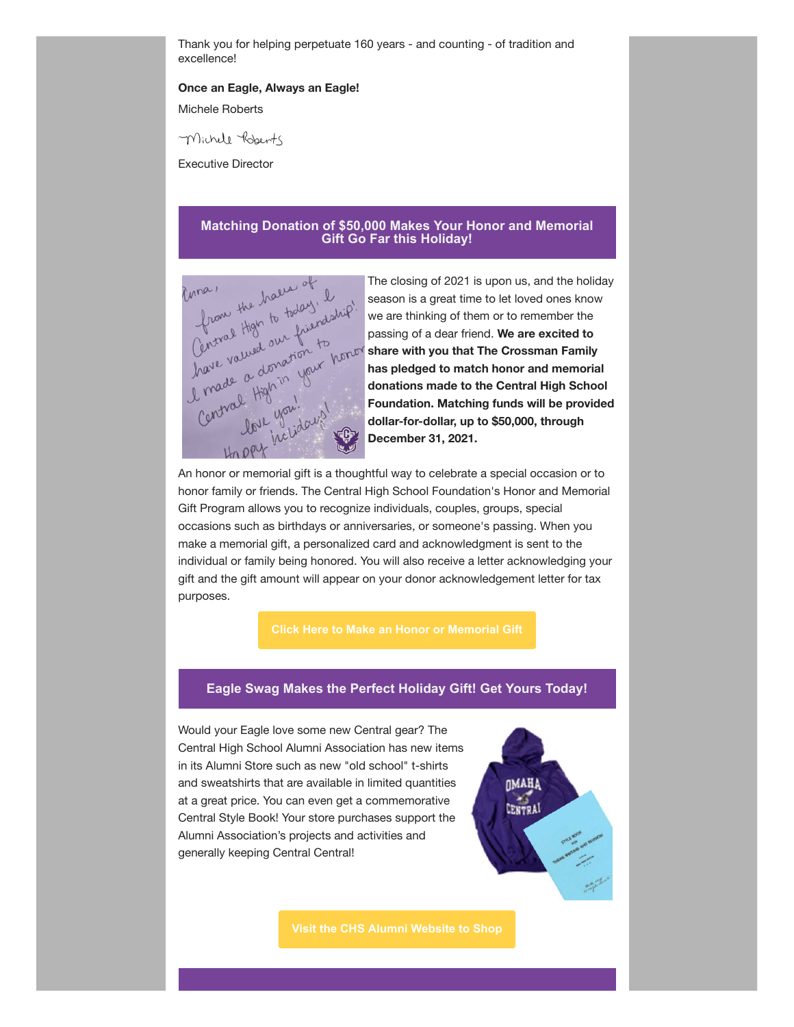Thank you for helping perpetuate 160 years - and counting - of tradition and excellence!

#### **Once an Eagle, Always an Eagle!**

Michele Roberts

Michell Roberts

Executive Director

### **Matching Donation of \$50,000 Makes Your Honor and Memorial Gift Go Far this Holiday!**



the holiday of the closing of 2021 is upon us, and the holiday  $\frac{1}{2}$  the closing of 2021 is upon us, and the holiday  $\frac{1}{2}$  the decay of  $\frac{1}{2}$  the decay of  $\frac{1}{2}$  the passing of a dear friend. We are excited season is a great time to let loved ones know we are thinking of them or to remember the passing of a dear friend. **We are excited to share with you that The Crossman Family has pledged to match honor and memorial donations made to the Central High School Foundation. Matching funds will be provided dollar-for-dollar, up to \$50,000, through December 31, 2021.**

An honor or memorial gift is a thoughtful way to celebrate a special occasion or to honor family or friends. The Central High School Foundation's Honor and Memorial Gift Program allows you to recognize individuals, couples, groups, special occasions such as birthdays or anniversaries, or someone's passing. When you make a memorial gift, a personalized card and acknowledgment is sent to the individual or family being honored. You will also receive a letter acknowledging your gift and the gift amount will appear on your donor acknowledgement letter for tax purposes.

#### **Eagle Swag Makes the Perfect Holiday Gift! Get Yours Today!**

Would your Eagle love some new Central gear? The Central High School Alumni Association has new items in its Alumni Store such as new "old school" t-shirts and sweatshirts that are available in limited quantities at a great price. You can even get a commemorative Central Style Book! Your store purchases support the Alumni Association's projects and activities and generally keeping Central Central!

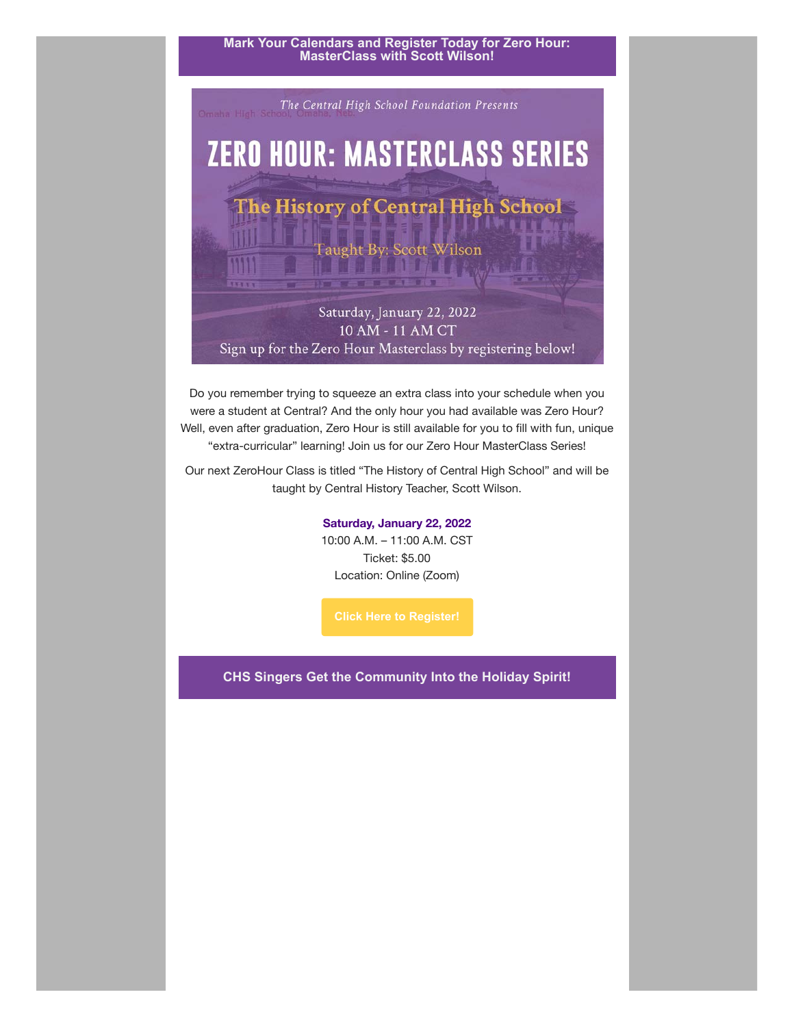### **Mark Your Calendars and Register Today for Zero Hour: MasterClass with Scott Wilson!**



Do you remember trying to squeeze an extra class into your schedule when you were a student at Central? And the only hour you had available was Zero Hour? Well, even after graduation, Zero Hour is still available for you to fill with fun, unique "extra-curricular" learning! Join us for our Zero Hour MasterClass Series!

Our next ZeroHour Class is titled "The History of Central High School" and will be taught by Central History Teacher, Scott Wilson.

#### **Saturday, January 22, 2022**

10:00 A.M. – 11:00 A.M. CST Ticket: \$5.00 Location: Online (Zoom)

**CHS Singers Get the Community Into the Holiday Spirit!**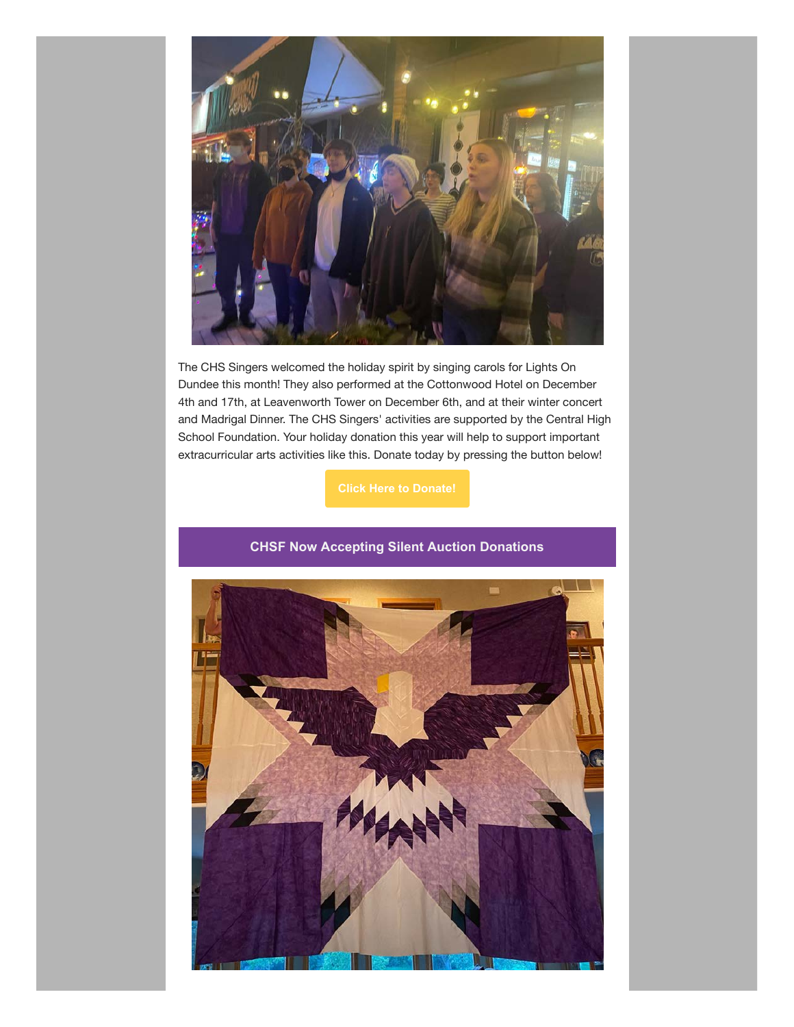

The CHS Singers welcomed the holiday spirit by singing carols for Lights On Dundee this month! They also performed at the Cottonwood Hotel on December 4th and 17th, at Leavenworth Tower on December 6th, and at their winter concert and Madrigal Dinner. The CHS Singers' activities are supported by the Central High School Foundation. Your holiday donation this year will help to support important extracurricular arts activities like this. Donate today by pressing the button below!

## **CHSF Now Accepting Silent Auction Donations**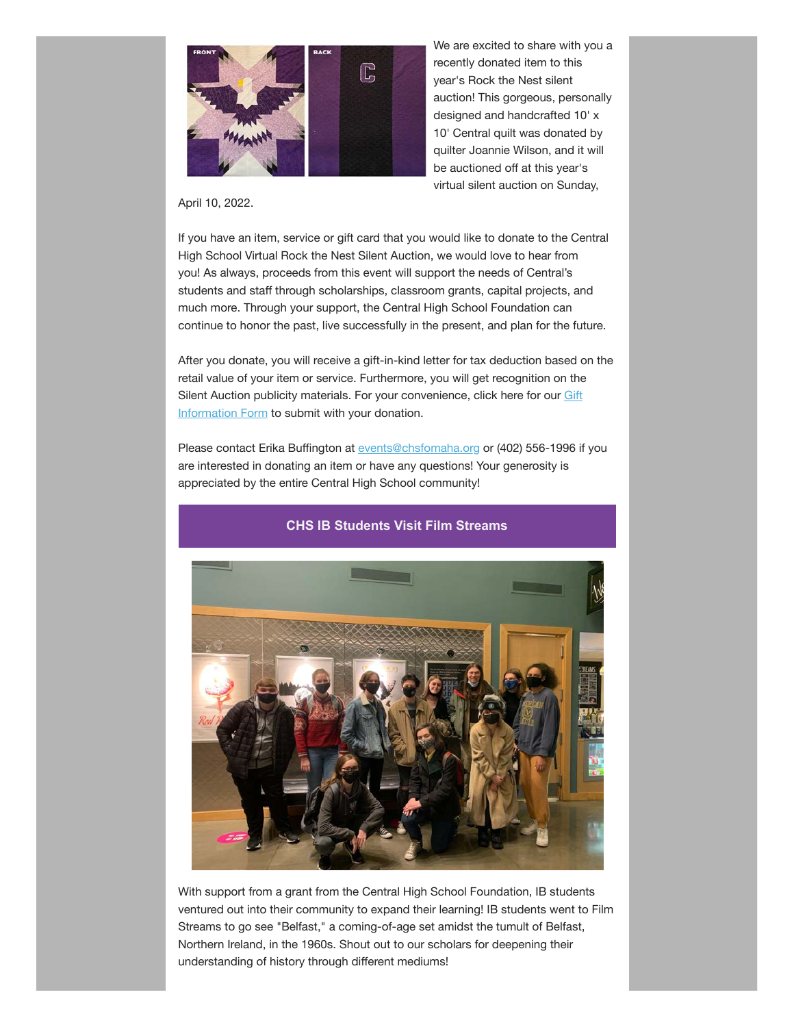

We are excited to share with you a recently donated item to this year's Rock the Nest silent auction! This gorgeous, personally designed and handcrafted 10' x 10' Central quilt was donated by quilter Joannie Wilson, and it will be auctioned off at this year's virtual silent auction on Sunday,

April 10, 2022.

If you have an item, service or gift card that you would like to donate to the Central High School Virtual Rock the Nest Silent Auction, we would love to hear from you! As always, proceeds from this event will support the needs of Central's students and staff through scholarships, classroom grants, capital projects, and much more. Through your support, the Central High School Foundation can continue to honor the past, live successfully in the present, and plan for the future.

After you donate, you will receive a gift-in-kind letter for tax deduction based on the retail value of your item or service. Furthermore, you will get recognition on the [Silent Auction publicity materials. For your convenience, click here for our Gift](http://www.chsfomaha.org/silent-auction-form) Information Form to submit with your donation.

Please contact Erika Buffington at [events@chsfomaha.org](mailto:events@chsfomaha.org) or (402) 556-1996 if you are interested in donating an item or have any questions! Your generosity is appreciated by the entire Central High School community!



## **CHS IB Students Visit Film Streams**

With support from a grant from the Central High School Foundation, IB students ventured out into their community to expand their learning! IB students went to Film Streams to go see "Belfast," a coming-of-age set amidst the tumult of Belfast, Northern Ireland, in the 1960s. Shout out to our scholars for deepening their understanding of history through different mediums!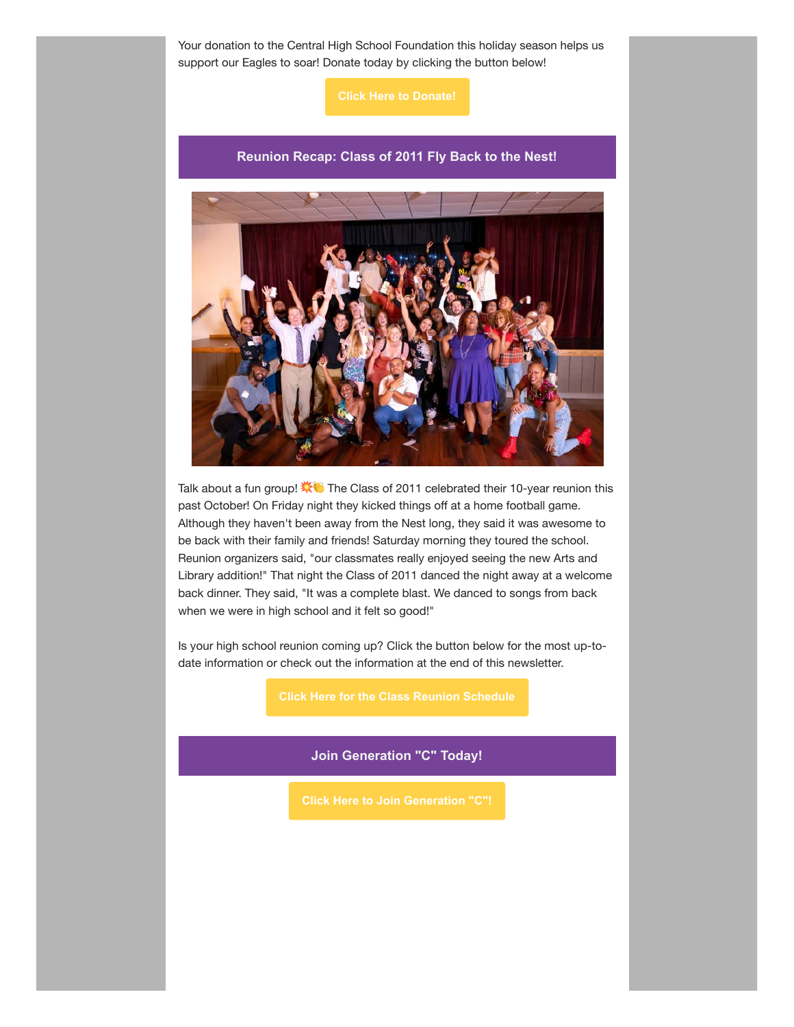Your donation to the Central High School Foundation this holiday season helps us support our Eagles to soar! Donate today by clicking the button below!

**[Click Here to Donate!](https://chsfomaha.org/support/generation-c/)**

## **Reunion Recap: Class of 2011 Fly Back to the Nest!**



Talk about a fun group!  $\mathbf{X}$  The Class of 2011 celebrated their 10-year reunion this past October! On Friday night they kicked things off at a home football game. Although they haven't been away from the Nest long, they said it was awesome to be back with their family and friends! Saturday morning they toured the school. Reunion organizers said, "our classmates really enjoyed seeing the new Arts and Library addition!" That night the Class of 2011 danced the night away at a welcome back dinner. They said, "It was a complete blast. We danced to songs from back when we were in high school and it felt so good!"

Is your high school reunion coming up? Click the button below for the most up-todate information or check out the information at the end of this newsletter.

**Join Generation "C" Today!**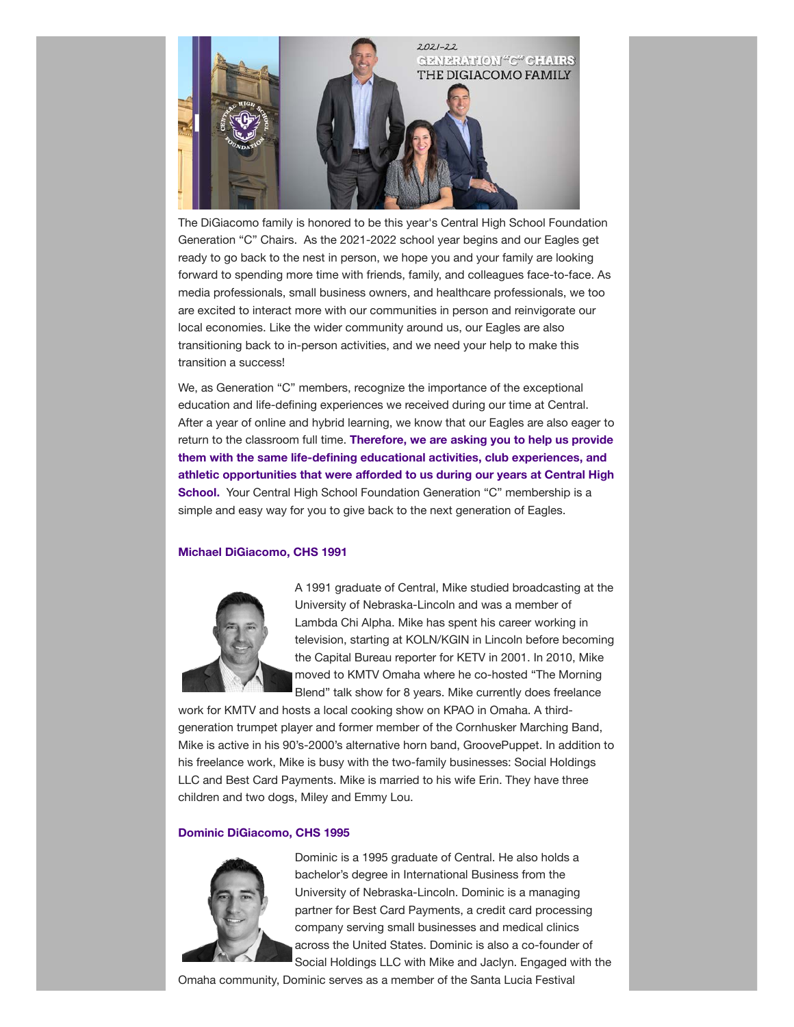

The DiGiacomo family is honored to be this year's Central High School Foundation Generation "C" Chairs. As the 2021-2022 school year begins and our Eagles get ready to go back to the nest in person, we hope you and your family are looking forward to spending more time with friends, family, and colleagues face-to-face. As media professionals, small business owners, and healthcare professionals, we too are excited to interact more with our communities in person and reinvigorate our local economies. Like the wider community around us, our Eagles are also transitioning back to in-person activities, and we need your help to make this transition a success!

We, as Generation "C" members, recognize the importance of the exceptional education and life-defining experiences we received during our time at Central. After a year of online and hybrid learning, we know that our Eagles are also eager to return to the classroom full time. **Therefore, we are asking you to help us provide them with the same life-defining educational activities, club experiences, and athletic opportunities that were afforded to us during our years at Central High School.** Your Central High School Foundation Generation "C" membership is a simple and easy way for you to give back to the next generation of Eagles.

#### **Michael DiGiacomo, CHS 1991**



A 1991 graduate of Central, Mike studied broadcasting at the University of Nebraska-Lincoln and was a member of Lambda Chi Alpha. Mike has spent his career working in television, starting at KOLN/KGIN in Lincoln before becoming the Capital Bureau reporter for KETV in 2001. In 2010, Mike moved to KMTV Omaha where he co-hosted "The Morning Blend" talk show for 8 years. Mike currently does freelance

work for KMTV and hosts a local cooking show on KPAO in Omaha. A thirdgeneration trumpet player and former member of the Cornhusker Marching Band, Mike is active in his 90's-2000's alternative horn band, GroovePuppet. In addition to his freelance work, Mike is busy with the two-family businesses: Social Holdings LLC and Best Card Payments. Mike is married to his wife Erin. They have three children and two dogs, Miley and Emmy Lou.

#### **Dominic DiGiacomo, CHS 1995**



Dominic is a 1995 graduate of Central. He also holds a bachelor's degree in International Business from the University of Nebraska-Lincoln. Dominic is a managing partner for Best Card Payments, a credit card processing company serving small businesses and medical clinics across the United States. Dominic is also a co-founder of Social Holdings LLC with Mike and Jaclyn. Engaged with the

Omaha community, Dominic serves as a member of the Santa Lucia Festival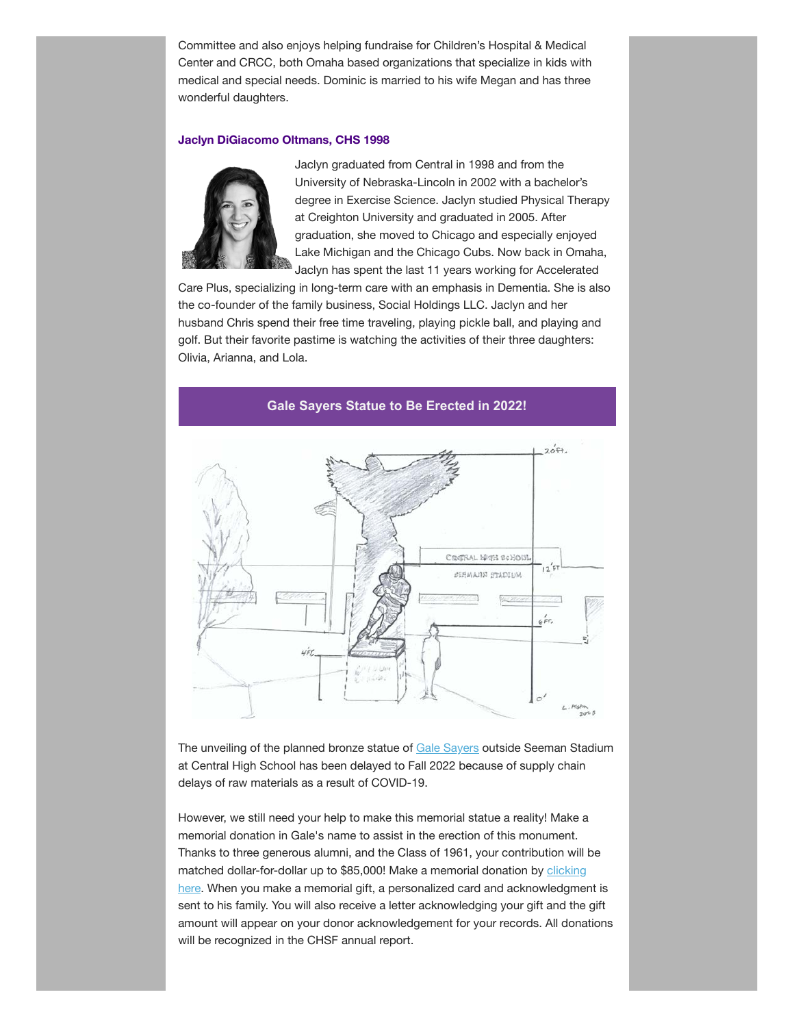Committee and also enjoys helping fundraise for Children's Hospital & Medical Center and CRCC, both Omaha based organizations that specialize in kids with medical and special needs. Dominic is married to his wife Megan and has three wonderful daughters.

#### **Jaclyn DiGiacomo Oltmans, CHS 1998**



Jaclyn graduated from Central in 1998 and from the University of Nebraska-Lincoln in 2002 with a bachelor's degree in Exercise Science. Jaclyn studied Physical Therapy at Creighton University and graduated in 2005. After graduation, she moved to Chicago and especially enjoyed Lake Michigan and the Chicago Cubs. Now back in Omaha, Jaclyn has spent the last 11 years working for Accelerated

Care Plus, specializing in long-term care with an emphasis in Dementia. She is also the co-founder of the family business, Social Holdings LLC. Jaclyn and her husband Chris spend their free time traveling, playing pickle ball, and playing and golf. But their favorite pastime is watching the activities of their three daughters: Olivia, Arianna, and Lola.



**Gale Sayers Statue to Be Erected in 2022!**

The unveiling of the planned bronze statue of [Gale Sayers](https://chsfomaha.org/halloffame/gale-sayers/) outside Seeman Stadium at Central High School has been delayed to Fall 2022 because of supply chain delays of raw materials as a result of COVID-19.

However, we still need your help to make this memorial statue a reality! Make a memorial donation in Gale's name to assist in the erection of this monument. Thanks to three generous alumni, and the Class of 1961, your contribution will be matched dollar-for-dollar up to \$85,000! Make a memorial donation by **clicking** here. When you make a memorial gift, a personalized card and acknowledgment is sent to his family. You will also receive a letter acknowledging your gift and the gift amount will appear on your donor acknowledgement for your records. All donations will be recognized in the CHSF annual report.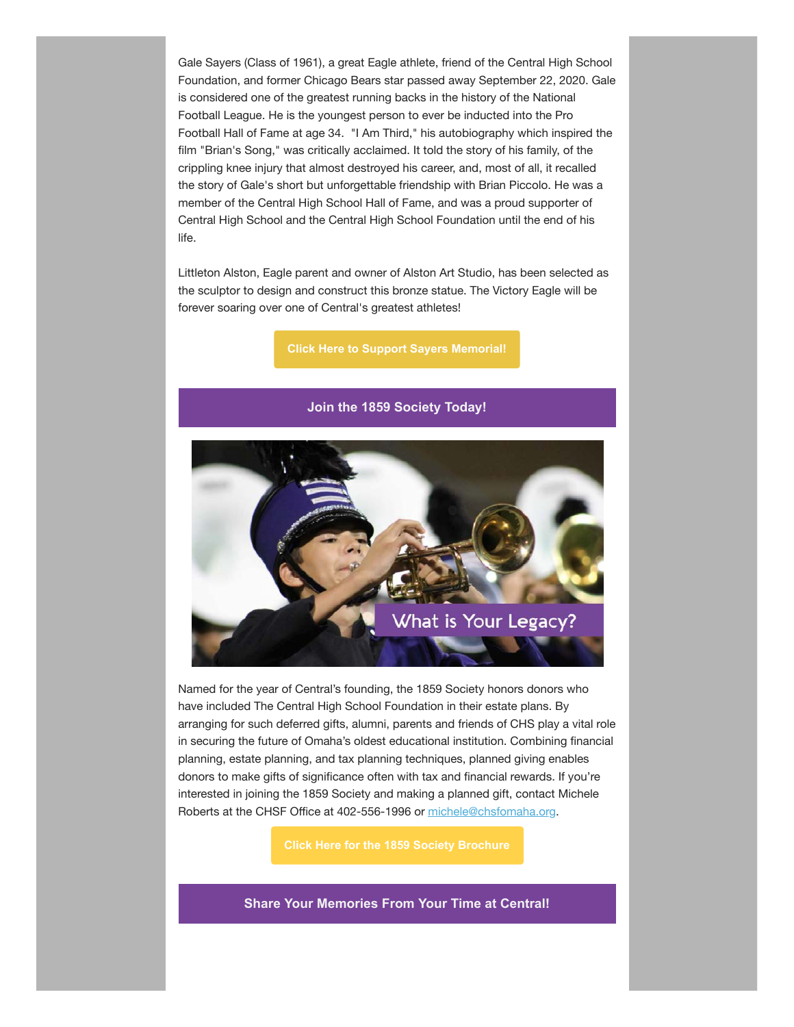Gale Sayers (Class of 1961), a great Eagle athlete, friend of the Central High School Foundation, and former Chicago Bears star passed away September 22, 2020. Gale is considered one of the greatest running backs in the history of the National Football League. He is the youngest person to ever be inducted into the Pro Football Hall of Fame at age 34. "I Am Third," his autobiography which inspired the film "Brian's Song," was critically acclaimed. It told the story of his family, of the crippling knee injury that almost destroyed his career, and, most of all, it recalled the story of Gale's short but unforgettable friendship with Brian Piccolo. He was a member of the Central High School Hall of Fame, and was a proud supporter of Central High School and the Central High School Foundation until the end of his life.

Littleton Alston, Eagle parent and owner of Alston Art Studio, has been selected as the sculptor to design and construct this bronze statue. The Victory Eagle will be forever soaring over one of Central's greatest athletes!

**[Click Here to Support Sayers Memorial!](https://chsfomaha.org/support/memorial-giving/)**



Named for the year of Central's founding, the 1859 Society honors donors who have included The Central High School Foundation in their estate plans. By arranging for such deferred gifts, alumni, parents and friends of CHS play a vital role in securing the future of Omaha's oldest educational institution. Combining financial planning, estate planning, and tax planning techniques, planned giving enables donors to make gifts of significance often with tax and financial rewards. If you're interested in joining the 1859 Society and making a planned gift, contact Michele Roberts at the CHSF Office at 402-556-1996 or [michele@chsfomaha.org.](mailto:michele@chsfomaha.org)

**Share Your Memories From Your Time at Central!**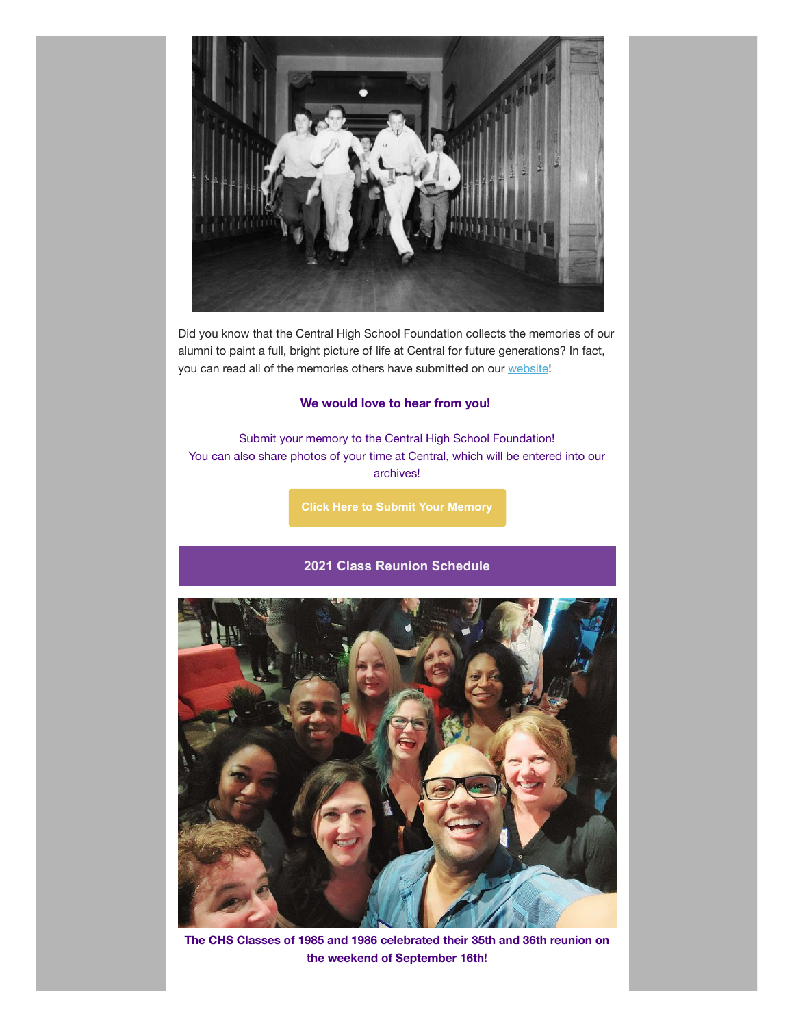

Did you know that the Central High School Foundation collects the memories of our alumni to paint a full, bright picture of life at Central for future generations? In fact, you can read all of the memories others have submitted on our [website](https://chsfomaha.org/alumni/chs-memories/)!

## **We would love to hear from you!**

Submit your memory to the Central High School Foundation! You can also share photos of your time at Central, which will be entered into our archives!

**[Click Here to Submit Your Memory](https://chsfomaha.org/alumni/memories-of-central/)**

## **2021 Class Reunion Schedule**



**The CHS Classes of 1985 and 1986 celebrated their 35th and 36th reunion on the weekend of September 16th!**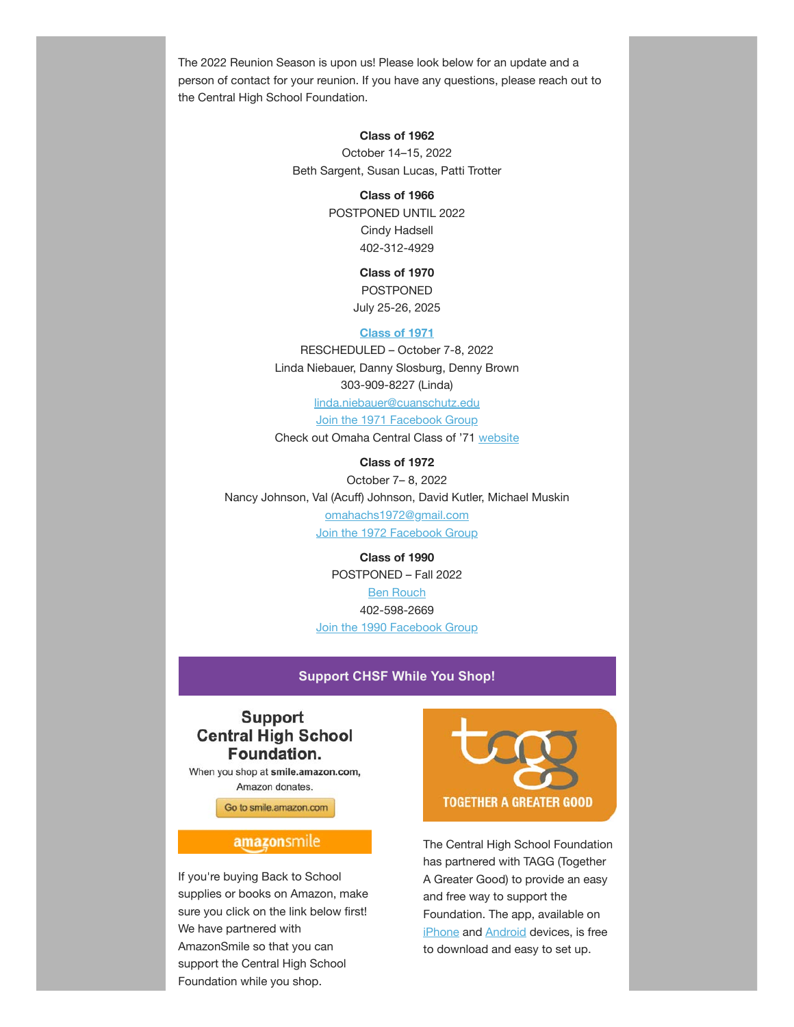The 2022 Reunion Season is upon us! Please look below for an update and a person of contact for your reunion. If you have any questions, please reach out to the Central High School Foundation.

## **Class of 1962**

October 14–15, 2022 Beth Sargent, Susan Lucas, Patti Trotter

#### **Class of 1966**

POSTPONED UNTIL 2022 Cindy Hadsell 402-312-4929

## **Class of 1970**

POSTPONED July 25-26, 2025

#### **[Class](https://chsfomaha.org/events/class-of-1971-reunion/) of 1971**

RESCHEDULED – October 7-8, 2022 Linda Niebauer, Danny Slosburg, Denny Brown 303-909-8227 (Linda) [linda.niebauer@cuanschutz.edu](mailto:linda.niebauer@cuanschutz.edu) [Join the 1971 Facebook Group](https://www.facebook.com/groups/112224362181582)

Check out Omaha Central Class of '71 [website](https://omahacentral71.classquest.com/)

**Class of 1972** October 7– 8, 2022 Nancy Johnson, Val (Acuff) Johnson, David Kutler, Michael Muskin [omahachs1972@gmail.com](mailto:omahachs1972@gmail.com) [Join the 1972 Facebook Group](https://www.facebook.com/OmahaCHS1972)

> **Class of 1990** POSTPONED – Fall 2022 [Ben Rouch](mailto:benjamin.rouch@me.com) 402-598-2669 [Join the 1990 Facebook Group](https://www.facebook.com/omahacentralhighclassof1990/)

## **Support CHSF While You Shop!**

## **Support Central High School** Foundation.

When you shop at smile.amazon.com, Amazon donates.

Go to smile.amazon.com

## amazonsmile

If you're buying Back to School supplies or books on Amazon, make sure you click on the link below first! We have partnered with AmazonSmile so that you can support the Central High School Foundation while you shop.



The Central High School Foundation has partnered with TAGG (Together A Greater Good) to provide an easy and free way to support the Foundation. The app, available on [iPhone](https://itunes.apple.com/us/app/together-a-greater-good/id900641585?ls=1&mt=8) and [Android](https://play.google.com/store/apps/details?id=com.agilxtagg.android) devices, is free to download and easy to set up.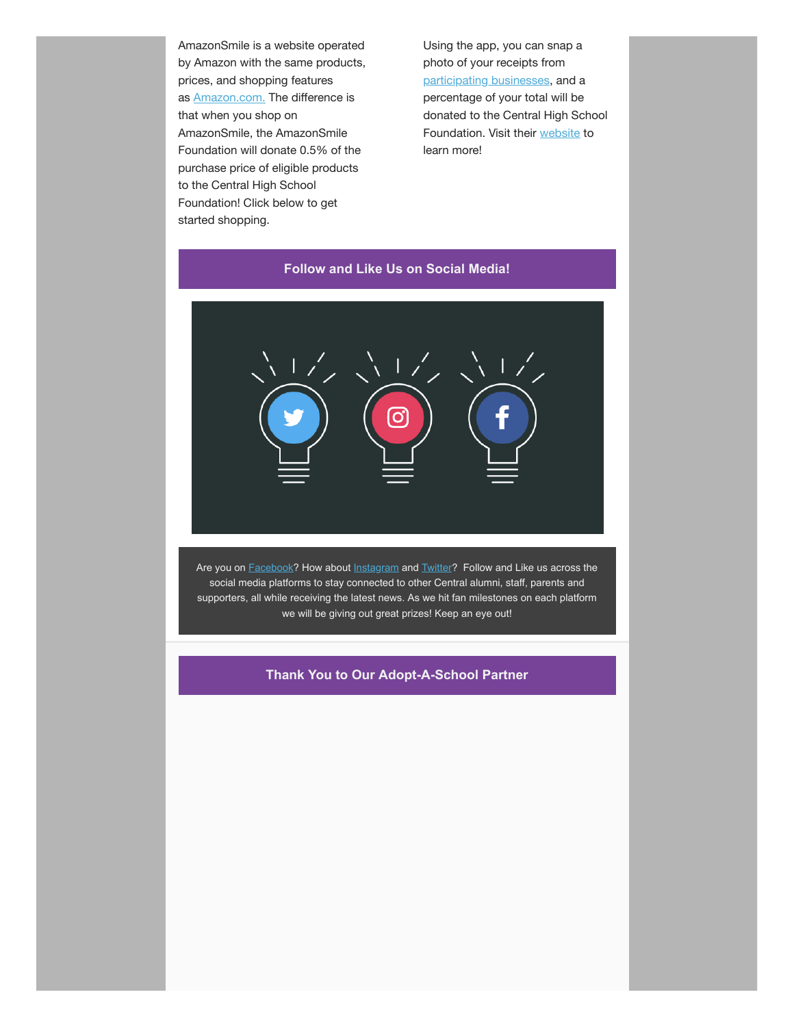AmazonSmile is a website operated by Amazon with the same products, prices, and shopping features as [Amazon.com.](http://amazon.com/?fbclid=IwAR1ko2vxLWKZsBVyFJaHybT_0nwcY1JSDpj6_0klZWqI7D5c8u5ErkuaEj0) The difference is that when you shop on AmazonSmile, the AmazonSmile Foundation will donate 0.5% of the purchase price of eligible products to the Central High School Foundation! Click below to get started shopping.

Using the app, you can snap a photo of your receipts from [participating businesses](https://togetheragreatergood.com/participating-businesses/), and a percentage of your total will be donated to the Central High School Foundation. Visit their [website](https://togetheragreatergood.com/) to learn more!



Are you on **[Facebook?](http://www.facebook.com/chsfomaha)** How about **Instagram** and **Twitter?** Follow and Like us across the social media platforms to stay connected to other Central alumni, staff, parents and supporters, all while receiving the latest news. As we hit fan milestones on each platform we will be giving out great prizes! Keep an eye out!

## **Thank You to Our Adopt-A-School Partner**